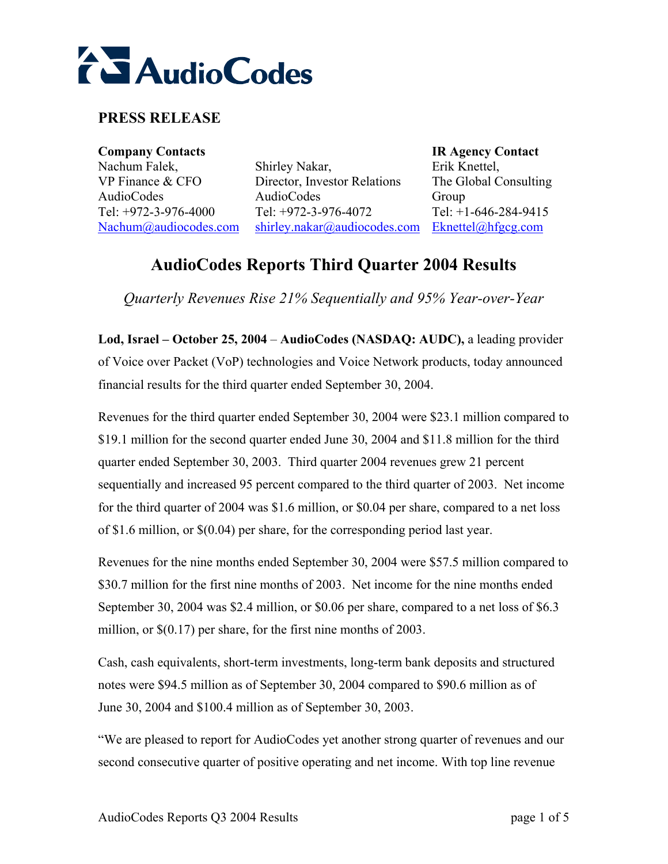

## **PRESS RELEASE**

Nachum Falek, VP Finance & CFO AudioCodes Tel: +972-3-976-4000 Nachum@audiocodes.com

Shirley Nakar, Director, Investor Relations AudioCodes Tel: +972-3-976-4072 shirley.nakar@audiocodes.com Eknettel@hfgcg.com

**Company Contacts IR Agency Contact**  Erik Knettel, The Global Consulting Group Tel: +1-646-284-9415

# **AudioCodes Reports Third Quarter 2004 Results**

*Quarterly Revenues Rise 21% Sequentially and 95% Year-over-Year* 

**Lod, Israel – October 25, 2004 – AudioCodes (NASDAQ: AUDC),** a leading provider of Voice over Packet (VoP) technologies and Voice Network products, today announced financial results for the third quarter ended September 30, 2004.

Revenues for the third quarter ended September 30, 2004 were \$23.1 million compared to \$19.1 million for the second quarter ended June 30, 2004 and \$11.8 million for the third quarter ended September 30, 2003. Third quarter 2004 revenues grew 21 percent sequentially and increased 95 percent compared to the third quarter of 2003. Net income for the third quarter of 2004 was \$1.6 million, or \$0.04 per share, compared to a net loss of \$1.6 million, or \$(0.04) per share, for the corresponding period last year.

Revenues for the nine months ended September 30, 2004 were \$57.5 million compared to \$30.7 million for the first nine months of 2003. Net income for the nine months ended September 30, 2004 was \$2.4 million, or \$0.06 per share, compared to a net loss of \$6.3 million, or \$(0.17) per share, for the first nine months of 2003.

Cash, cash equivalents, short-term investments, long-term bank deposits and structured notes were \$94.5 million as of September 30, 2004 compared to \$90.6 million as of June 30, 2004 and \$100.4 million as of September 30, 2003.

ìWe are pleased to report for AudioCodes yet another strong quarter of revenues and our second consecutive quarter of positive operating and net income. With top line revenue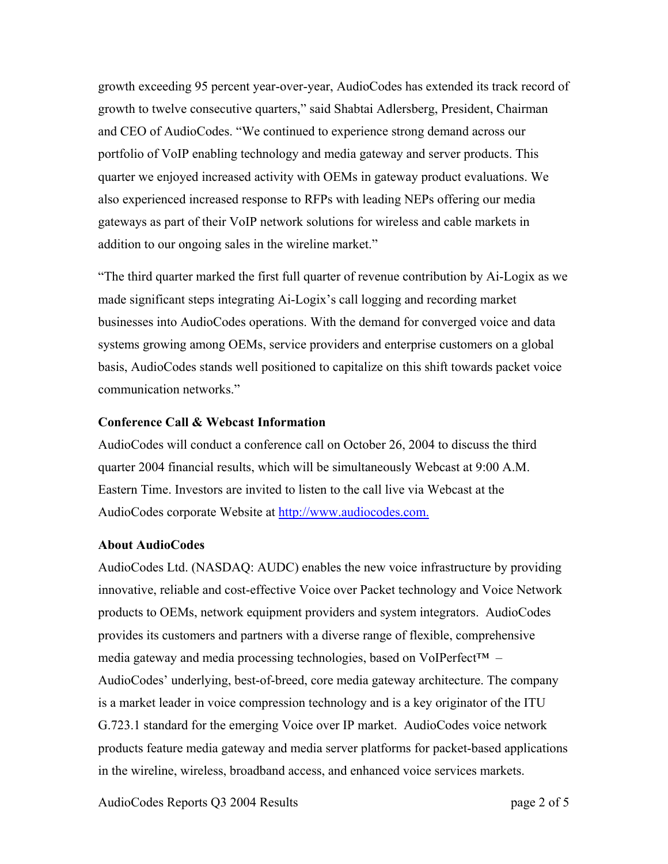growth exceeding 95 percent year-over-year, AudioCodes has extended its track record of growth to twelve consecutive quarters," said Shabtai Adlersberg, President, Chairman and CEO of AudioCodes. "We continued to experience strong demand across our portfolio of VoIP enabling technology and media gateway and server products. This quarter we enjoyed increased activity with OEMs in gateway product evaluations. We also experienced increased response to RFPs with leading NEPs offering our media gateways as part of their VoIP network solutions for wireless and cable markets in addition to our ongoing sales in the wireline market."

ìThe third quarter marked the first full quarter of revenue contribution by Ai-Logix as we made significant steps integrating Ai-Logix's call logging and recording market businesses into AudioCodes operations. With the demand for converged voice and data systems growing among OEMs, service providers and enterprise customers on a global basis, AudioCodes stands well positioned to capitalize on this shift towards packet voice communication networks."

#### **Conference Call & Webcast Information**

AudioCodes will conduct a conference call on October 26, 2004 to discuss the third quarter 2004 financial results, which will be simultaneously Webcast at 9:00 A.M. Eastern Time. Investors are invited to listen to the call live via Webcast at the AudioCodes corporate Website at http://www.audiocodes.com.

#### **About AudioCodes**

AudioCodes Ltd. (NASDAQ: AUDC) enables the new voice infrastructure by providing innovative, reliable and cost-effective Voice over Packet technology and Voice Network products to OEMs, network equipment providers and system integrators. AudioCodes provides its customers and partners with a diverse range of flexible, comprehensive media gateway and media processing technologies, based on VoIPerfect<sup>TM</sup>  $-$ AudioCodes' underlying, best-of-breed, core media gateway architecture. The company is a market leader in voice compression technology and is a key originator of the ITU G.723.1 standard for the emerging Voice over IP market. AudioCodes voice network products feature media gateway and media server platforms for packet-based applications in the wireline, wireless, broadband access, and enhanced voice services markets.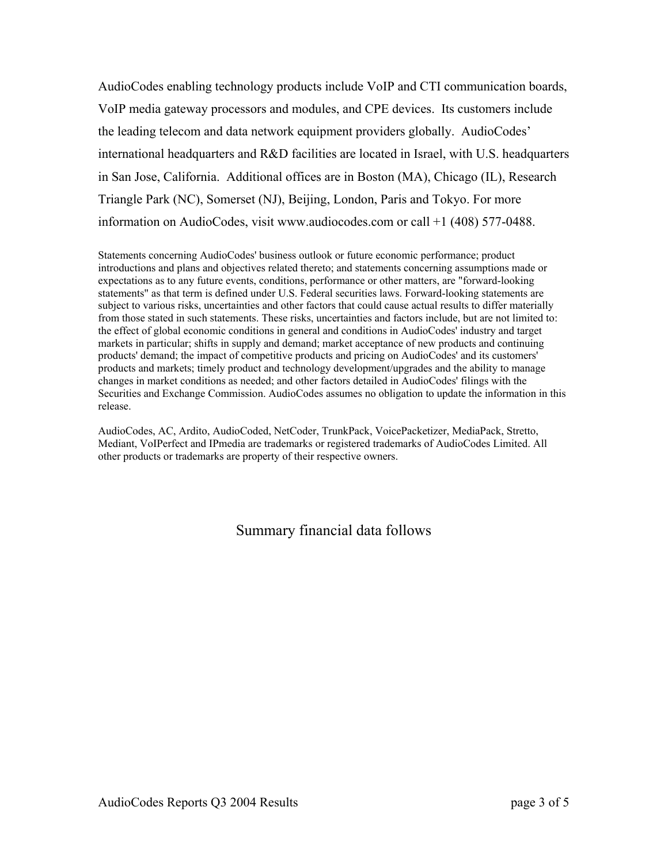AudioCodes enabling technology products include VoIP and CTI communication boards, VoIP media gateway processors and modules, and CPE devices. Its customers include the leading telecom and data network equipment providers globally. AudioCodes' international headquarters and R&D facilities are located in Israel, with U.S. headquarters in San Jose, California. Additional offices are in Boston (MA), Chicago (IL), Research Triangle Park (NC), Somerset (NJ), Beijing, London, Paris and Tokyo. For more information on AudioCodes, visit www.audiocodes.com or call +1 (408) 577-0488.

Statements concerning AudioCodes' business outlook or future economic performance; product introductions and plans and objectives related thereto; and statements concerning assumptions made or expectations as to any future events, conditions, performance or other matters, are "forward-looking statements" as that term is defined under U.S. Federal securities laws. Forward-looking statements are subject to various risks, uncertainties and other factors that could cause actual results to differ materially from those stated in such statements. These risks, uncertainties and factors include, but are not limited to: the effect of global economic conditions in general and conditions in AudioCodes' industry and target markets in particular; shifts in supply and demand; market acceptance of new products and continuing products' demand; the impact of competitive products and pricing on AudioCodes' and its customers' products and markets; timely product and technology development/upgrades and the ability to manage changes in market conditions as needed; and other factors detailed in AudioCodes' filings with the Securities and Exchange Commission. AudioCodes assumes no obligation to update the information in this release.

AudioCodes, AC, Ardito, AudioCoded, NetCoder, TrunkPack, VoicePacketizer, MediaPack, Stretto, Mediant, VoIPerfect and IPmedia are trademarks or registered trademarks of AudioCodes Limited. All other products or trademarks are property of their respective owners.

Summary financial data follows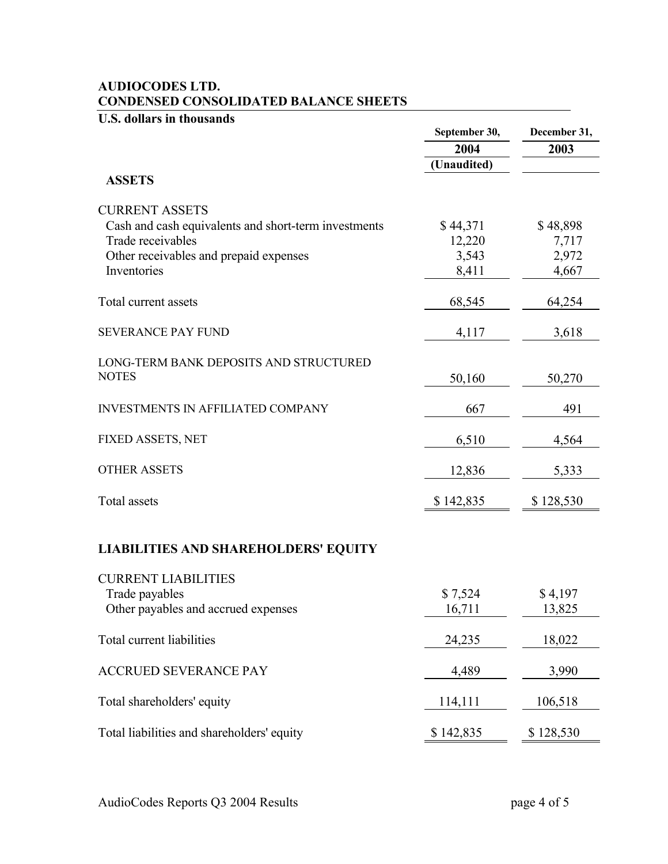## **AUDIOCODES LTD. CONDENSED CONSOLIDATED BALANCE SHEETS**

**U.S. dollars in thousands** 

| September 30,                                        |             | December 31, |  |
|------------------------------------------------------|-------------|--------------|--|
|                                                      | 2004        | 2003         |  |
|                                                      | (Unaudited) |              |  |
| <b>ASSETS</b>                                        |             |              |  |
| <b>CURRENT ASSETS</b>                                |             |              |  |
| Cash and cash equivalents and short-term investments | \$44,371    | \$48,898     |  |
| Trade receivables                                    | 12,220      | 7,717        |  |
| Other receivables and prepaid expenses               | 3,543       | 2,972        |  |
| Inventories                                          | 8,411       | 4,667        |  |
| Total current assets                                 | 68,545      | 64,254       |  |
| <b>SEVERANCE PAY FUND</b>                            | 4,117       | 3,618        |  |
| LONG-TERM BANK DEPOSITS AND STRUCTURED               |             |              |  |
| <b>NOTES</b>                                         | 50,160      | 50,270       |  |
|                                                      |             |              |  |
| <b>INVESTMENTS IN AFFILIATED COMPANY</b>             | 667         | 491          |  |
| FIXED ASSETS, NET                                    | 6,510       | 4,564        |  |
| <b>OTHER ASSETS</b>                                  | 12,836      | 5,333        |  |
| <b>Total assets</b>                                  | \$142,835   | \$128,530    |  |
|                                                      |             |              |  |
| <b>LIABILITIES AND SHAREHOLDERS' EQUITY</b>          |             |              |  |
| <b>CURRENT LIABILITIES</b>                           |             |              |  |
| Trade payables                                       | \$7,524     | \$4,197      |  |
| Other payables and accrued expenses                  | 16,711      | 13,825       |  |
| Total current liabilities                            | 24,235      | 18,022       |  |
| <b>ACCRUED SEVERANCE PAY</b>                         | 4,489       | 3,990        |  |
| Total shareholders' equity                           | 114,111     | 106,518      |  |
| Total liabilities and shareholders' equity           | \$142,835   | \$128,530    |  |